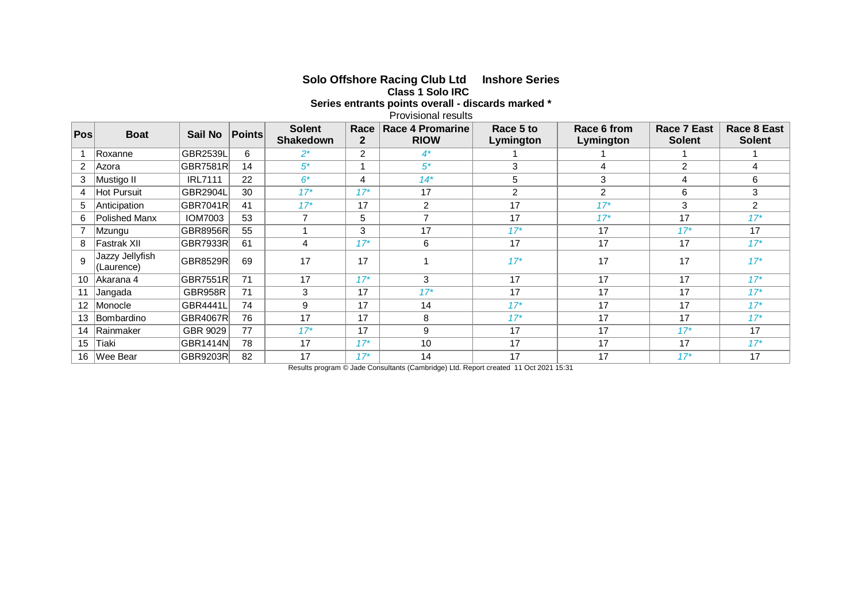| Series entrants points overall - discards marked<br><b>Provisional results</b> |                               |                 |               |                                   |                      |                                        |                        |                          |                              |                              |
|--------------------------------------------------------------------------------|-------------------------------|-----------------|---------------|-----------------------------------|----------------------|----------------------------------------|------------------------|--------------------------|------------------------------|------------------------------|
| Pos                                                                            | <b>Boat</b>                   | Sail No         | <b>Points</b> | <b>Solent</b><br><b>Shakedown</b> | Race<br>$\mathbf{2}$ | <b>Race 4 Promarine</b><br><b>RIOW</b> | Race 5 to<br>Lymington | Race 6 from<br>Lymington | Race 7 East<br><b>Solent</b> | Race 8 East<br><b>Solent</b> |
|                                                                                | Roxanne                       | <b>GBR2539L</b> | 6             | $2^*$                             | $\overline{2}$       | $4^*$                                  |                        |                          |                              |                              |
| $\overline{2}$                                                                 | Azora                         | <b>GBR7581R</b> | 14            | $5*$                              | 1                    | $5*$                                   | 3                      | 4                        | $\overline{2}$               | 4                            |
| 3                                                                              | Mustigo II                    | <b>IRL7111</b>  | 22            | $6*$                              | 4                    | $14*$                                  | 5                      | 3                        | 4                            | 6                            |
| $\overline{4}$                                                                 | Hot Pursuit                   | <b>GBR2904L</b> | 30            | $17*$                             | $17*$                | 17                                     | $\overline{2}$         | 2                        | 6                            | 3                            |
| 5                                                                              | Anticipation                  | GBR7041R        | 41            | $17*$                             | 17                   | $\overline{2}$                         | 17                     | $17*$                    | 3                            | $\overline{2}$               |
| 6                                                                              | Polished Manx                 | <b>IOM7003</b>  | 53            | $\overline{7}$                    | 5                    | $\overline{ }$                         | 17                     | $17*$                    | 17                           | $17*$                        |
|                                                                                | Mzungu                        | GBR8956R        | 55            | 1                                 | 3                    | 17                                     | $17*$                  | 17                       | $17*$                        | 17                           |
| 8                                                                              | Fastrak XII                   | GBR7933R        | 61            | 4                                 | $17*$                | 6                                      | 17                     | 17                       | 17                           | $17*$                        |
| 9                                                                              | Jazzy Jellyfish<br>(Laurence) | GBR8529R        | 69            | 17                                | 17                   |                                        | $17*$                  | 17                       | 17                           | $17*$                        |
| 10 <sup>1</sup>                                                                | Akarana 4                     | GBR7551R        | 71            | 17                                | $17*$                | 3                                      | 17                     | 17                       | 17                           | $17*$                        |
| 11                                                                             | Jangada                       | GBR958R         | 71            | 3                                 | 17                   | $17*$                                  | 17                     | 17                       | 17                           | $17*$                        |
| 12 <sup>7</sup>                                                                | Monocle                       | <b>GBR4441L</b> | 74            | 9                                 | 17                   | 14                                     | $17*$                  | 17                       | 17                           | $17*$                        |
|                                                                                | 13 Bombardino                 | <b>GBR4067R</b> | 76            | 17                                | 17                   | 8                                      | $17*$                  | 17                       | 17                           | $17*$                        |
|                                                                                | 14 Rainmaker                  | GBR 9029        | 77            | $17*$                             | 17                   | 9                                      | 17                     | 17                       | $17*$                        | 17                           |
| 15                                                                             | Tiaki                         | <b>GBR1414N</b> | 78            | 17                                | $17*$                | 10                                     | 17                     | 17                       | 17                           | $17*$                        |
|                                                                                | 16 Wee Bear                   | GBR9203R        | 82            | 17                                | $17*$                | 14                                     | 17                     | 17                       | $17*$                        | 17                           |

## **Solo Offshore Racing Club Ltd Inshore Series Class 1 Solo IRC**

**Series entrants points overall - discards marked \***

Results program © Jade Consultants (Cambridge) Ltd. Report created 11 Oct 2021 15:31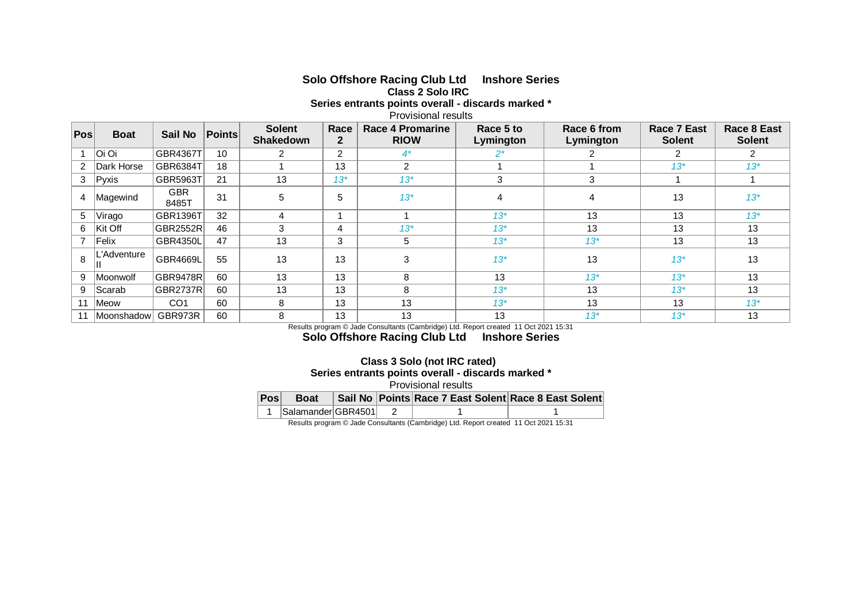## **Solo Offshore Racing Club Ltd Inshore Series Class 2 Solo IRC**

**Series entrants points overall - discards marked \***

Provisional results

| Pos | <b>Boat</b> | <b>Sail No</b>      | <b>Points</b> | <b>Solent</b><br><b>Shakedown</b> | Race<br>$\overline{2}$ | Race 4 Promarine<br><b>RIOW</b> | Race 5 to<br>Lymington | Race 6 from<br>Lymington | <b>Race 7 East</b><br><b>Solent</b> | Race 8 East<br><b>Solent</b> |
|-----|-------------|---------------------|---------------|-----------------------------------|------------------------|---------------------------------|------------------------|--------------------------|-------------------------------------|------------------------------|
|     | Oi Oi       | <b>GBR4367T</b>     | 10            | 2                                 | $\overline{2}$         | $4^*$                           | 2*                     |                          |                                     | 2                            |
| 2   | Dark Horse  | GBR6384T            | 18            |                                   | 13                     | $\overline{2}$                  |                        |                          | $13*$                               | $13*$                        |
| 3   | Pyxis       | <b>GBR5963T</b>     | 21            | 13                                | $13*$                  | $13*$                           | 3                      | 3                        |                                     |                              |
| 4   | Magewind    | <b>GBR</b><br>8485T | 31            | 5                                 | 5                      | $13*$                           | 4                      | 4                        | 13                                  | $13*$                        |
| 5   | Virago      | GBR1396T            | 32            | 4                                 |                        |                                 | $13*$                  | 13                       | 13                                  | $13*$                        |
| 6   | Kit Off     | <b>GBR2552R</b>     | 46            | 3                                 | 4                      | $13^*$                          | $13*$                  | 13                       | 13                                  | 13                           |
|     | Felix       | <b>GBR4350L</b>     | 47            | 13                                | 3                      | 5                               | $13*$                  | $13*$                    | 13                                  | 13                           |
| 8   | _'Adventure | GBR4669L            | 55            | 13                                | 13                     | 3                               | $13*$                  | 13                       | $13*$                               | 13                           |
| 9   | Moonwolf    | <b>GBR9478R</b>     | 60            | 13                                | 13                     | 8                               | 13                     | $13*$                    | $13*$                               | 13                           |
| 9   | Scarab      | <b>GBR2737R</b>     | 60            | 13                                | 13                     | 8                               | $13*$                  | 13                       | $13*$                               | 13                           |
| 11  | Meow        | CO <sub>1</sub>     | 60            | 8                                 | 13                     | 13                              | $13*$                  | 13                       | 13                                  | $13^*$                       |
| 11  | Moonshadow  | GBR973R             | 60            | 8                                 | 13                     | 13                              | 13                     | $13*$                    | $13*$                               | 13                           |

Results program © Jade Consultants (Cambridge) Ltd. Report created 11 Oct 2021 15:31

**Solo Offshore Racing Club Ltd Inshore Series**

## **Class 3 Solo (not IRC rated) Series entrants points overall - discards marked \*** Provisional results

| Pos | <b>Boat</b>        |  |  |  | Sail No   Points Race 7 East Solent Race 8 East Solent |  |  |  |  |  |  |  |
|-----|--------------------|--|--|--|--------------------------------------------------------|--|--|--|--|--|--|--|
|     | Salamander GBR4501 |  |  |  |                                                        |  |  |  |  |  |  |  |

Results program © Jade Consultants (Cambridge) Ltd. Report created 11 Oct 2021 15:31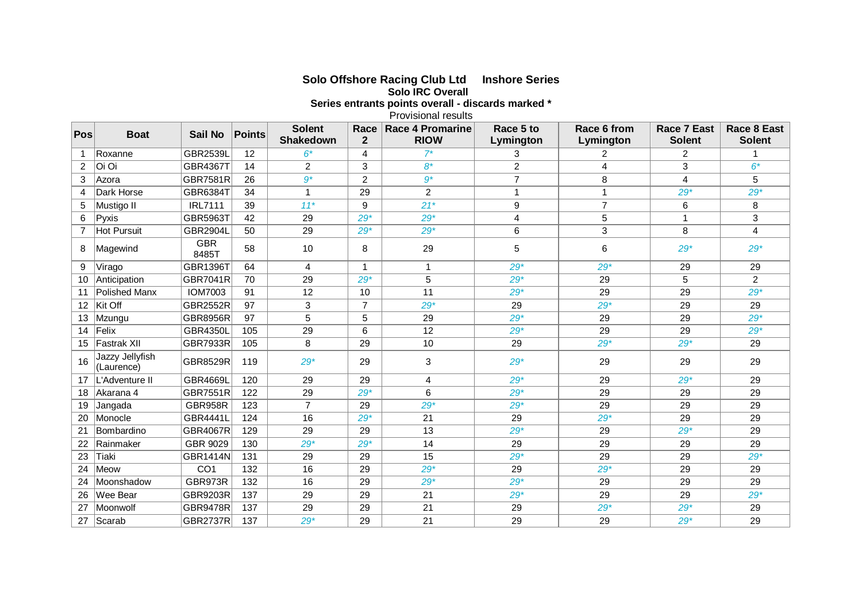| Series entrants points overall - discards marked *<br><b>Provisional results</b> |                               |                     |               |                                   |                        |                                        |                         |                          |                              |                              |
|----------------------------------------------------------------------------------|-------------------------------|---------------------|---------------|-----------------------------------|------------------------|----------------------------------------|-------------------------|--------------------------|------------------------------|------------------------------|
| Pos                                                                              | <b>Boat</b>                   | <b>Sail No</b>      | <b>Points</b> | <b>Solent</b><br><b>Shakedown</b> | Race<br>$\overline{2}$ | <b>Race 4 Promarine</b><br><b>RIOW</b> | Race 5 to<br>Lymington  | Race 6 from<br>Lymington | Race 7 East<br><b>Solent</b> | Race 8 East<br><b>Solent</b> |
| $\mathbf{1}$                                                                     | Roxanne                       | <b>GBR2539L</b>     | 12            | $6*$                              | 4                      | $7^*$                                  | 3                       | $\overline{2}$           | $\overline{2}$               |                              |
| $\overline{2}$                                                                   | Oi Oi                         | <b>GBR4367T</b>     | 14            | $\overline{2}$                    | 3                      | $8*$                                   | $\overline{2}$          | $\overline{4}$           | 3                            | $6*$                         |
| 3                                                                                | Azora                         | <b>GBR7581R</b>     | 26            | $\overline{g^*}$                  | $\overline{c}$         | $\overline{g^*}$                       | $\overline{7}$          | 8                        | 4                            | 5                            |
| 4                                                                                | Dark Horse                    | GBR6384T            | 34            | $\mathbf{1}$                      | 29                     | $\overline{a}$                         | $\mathbf{1}$            |                          | $29*$                        | $29*$                        |
| 5                                                                                | Mustigo II                    | <b>IRL7111</b>      | 39            | $11*$                             | 9                      | $21*$                                  | $\boldsymbol{9}$        | $\overline{7}$           | 6                            | 8                            |
| 6                                                                                | Pyxis                         | GBR5963T            | 42            | 29                                | $29*$                  | $29*$                                  | $\overline{\mathbf{4}}$ | 5                        | $\mathbf{1}$                 | 3                            |
| $\overline{7}$                                                                   | Hot Pursuit                   | <b>GBR2904L</b>     | 50            | 29                                | $29*$                  | $29*$                                  | 6                       | 3                        | 8                            | $\overline{4}$               |
| 8                                                                                | Magewind                      | <b>GBR</b><br>8485T | 58            | 10                                | 8                      | 29                                     | $\mathbf 5$             | 6                        | $29*$                        | $29*$                        |
| 9                                                                                | Virago                        | GBR1396T            | 64            | 4                                 | $\mathbf{1}$           | $\mathbf{1}$                           | $29*$                   | $29*$                    | 29                           | 29                           |
| 10                                                                               | Anticipation                  | <b>GBR7041R</b>     | 70            | 29                                | $29*$                  | 5                                      | $29*$                   | 29                       | 5                            | $\overline{2}$               |
| 11                                                                               | Polished Manx                 | <b>IOM7003</b>      | 91            | 12                                | 10                     | 11                                     | $29*$                   | 29                       | 29                           | $29*$                        |
| 12                                                                               | Kit Off                       | <b>GBR2552R</b>     | 97            | $\mathbf{3}$                      | $\overline{7}$         | $29*$                                  | 29                      | $29*$                    | 29                           | 29                           |
| 13                                                                               | Mzungu                        | <b>GBR8956R</b>     | 97            | 5                                 | $\sqrt{5}$             | 29                                     | $29*$                   | 29                       | 29                           | $29*$                        |
| 14                                                                               | Felix                         | <b>GBR4350L</b>     | 105           | 29                                | 6                      | 12                                     | $29*$                   | 29                       | 29                           | $29*$                        |
| 15                                                                               | Fastrak XII                   | GBR7933R            | 105           | 8                                 | 29                     | 10                                     | 29                      | $29*$                    | $29*$                        | 29                           |
| 16                                                                               | Jazzy Jellyfish<br>(Laurence) | GBR8529R            | 119           | $29*$                             | 29                     | 3                                      | $29*$                   | 29                       | 29                           | 29                           |
| 17                                                                               | L'Adventure II                | GBR4669L            | 120           | 29                                | 29                     | 4                                      | $29*$                   | 29                       | $29*$                        | 29                           |
| 18                                                                               | Akarana 4                     | GBR7551R            | 122           | 29                                | $29*$                  | 6                                      | $29*$                   | 29                       | 29                           | 29                           |
| 19                                                                               | Jangada                       | <b>GBR958R</b>      | 123           | $\overline{7}$                    | 29                     | $29*$                                  | $29*$                   | 29                       | 29                           | 29                           |
| 20                                                                               | Monocle                       | GBR4441L            | 124           | 16                                | $29*$                  | 21                                     | 29                      | $29*$                    | 29                           | 29                           |
| 21                                                                               | Bombardino                    | <b>GBR4067R</b>     | 129           | 29                                | 29                     | 13                                     | $29*$                   | 29                       | $29*$                        | 29                           |
| 22                                                                               | Rainmaker                     | GBR 9029            | 130           | $29*$                             | $29*$                  | 14                                     | 29                      | 29                       | 29                           | 29                           |
| 23                                                                               | Tiaki                         | GBR1414N            | 131           | 29                                | 29                     | 15                                     | $29*$                   | 29                       | 29                           | $29*$                        |
| 24                                                                               | Meow                          | CO <sub>1</sub>     | 132           | 16                                | 29                     | $29*$                                  | 29                      | $29*$                    | 29                           | 29                           |
| 24                                                                               | Moonshadow                    | GBR973R             | 132           | 16                                | 29                     | $29*$                                  | $29*$                   | 29                       | 29                           | 29                           |
| 26                                                                               | Wee Bear                      | <b>GBR9203R</b>     | 137           | 29                                | 29                     | 21                                     | $29*$                   | 29                       | 29                           | $29*$                        |
| 27                                                                               | Moonwolf                      | <b>GBR9478R</b>     | 137           | 29                                | 29                     | 21                                     | 29                      | $29*$                    | $29*$                        | 29                           |
| 27                                                                               | Scarab                        | GBR2737R            | 137           | $29*$                             | 29                     | 21                                     | 29                      | 29                       | $29*$                        | 29                           |

**Solo Offshore Racing Club Ltd Inshore Series Solo IRC Overall**